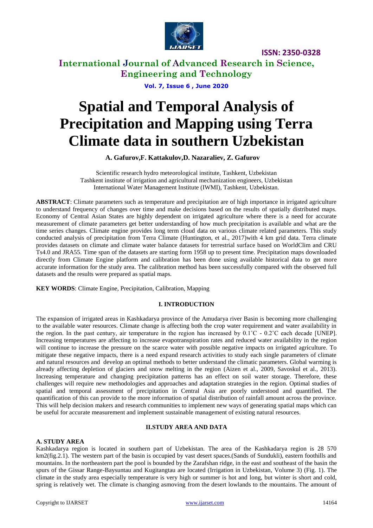

# **International Journal of Advanced Research in Science, Engineering and Technology**

**Vol. 7, Issue 6 , June 2020**

# **Spatial and Temporal Analysis of Precipitation and Mapping using Terra Climate data in southern Uzbekistan**

**A. Gafurov,F. Kattakulov,D. Nazaraliev, Z. Gafurov**

Scientific research hydro meteorological institute, Tashkent, Uzbekistan Tashkent institute of irrigation and agricultural mechanization engineers, Uzbekistan International Water Management Institute (IWMI), Tashkent, Uzbekistan.

**ABSTRACT**: Climate parameters such as temperature and precipitation are of high importance in irrigated agriculture to understand frequency of changes over time and make decisions based on the results of spatially distributed maps. Economy of Central Asian States are highly dependent on irrigated agriculture where there is a need for accurate measurement of climate parameters get better understanding of how much precipitation is available and what are the time series changes. Climate engine provides long term cloud data on various climate related parameters. This study conducted analysis of precipitation from Terra Climate (Huntington, et al., 2017)with 4 km grid data. Terra climate provides datasets on climate and climate water balance datasets for terrestrial surface based on WorldClim and CRU Ts4.0 and JRA55. Time span of the datasets are starting form 1958 up to present time. Precipitation maps downloaded directly from Climate Engine platform and calibration has been done using available historical data to get more accurate information for the study area. The calibration method has been successfully compared with the observed full datasets and the results were prepared as spatial maps.

**KEY WORDS**: Climate Engine, Precipitation, Calibration, Mapping

#### **I. INTRODUCTION**

The expansion of irrigated areas in Kashkadarya province of the Amudarya river Basin is becoming more challenging to the available water resources. Climate change is affecting both the crop water requirement and water availability in the region. In the past century, air temperature in the region has increased by  $0.1^{\circ}$ C -  $0.2^{\circ}$ C each decade [UNEP]. Increasing temperatures are affecting to increase evapotranspiration rates and reduced water availability in the region will continue to increase the pressure on the scarce water with possible negative impacts on irrigated agriculture. To mitigate these negative impacts, there is a need expand research activities to study each single parameters of climate and natural resources and develop an optimal methods to better understand the climatic parameters. Global warming is already affecting depletion of glaciers and snow melting in the region (Aizen et al., 2009, Savoskul et al., 2013). Increasing temperature and changing precipitation patterns has an effect on soil water storage. Therefore, these challenges will require new methodologies and approaches and adaptation strategies in the region. Optimal studies of spatial and temporal assessment of precipitation in Central Asia are poorly understood and quantified. The quantification of this can provide to the more information of spatial distribution of rainfall amount across the province. This will help decision makers and research communities to implement new ways of generating spatial maps which can be useful for accurate measurement and implement sustainable management of existing natural resources.

### **II.STUDY AREA AND DATA**

### **A. STUDY AREA**

Kashkadarya region is located in southern part of Uzbekistan. The area of the Kashkadarya region is 28 570 km2(fig.2.1). The western part of the basin is occupied by vast desert spaces.(Sands of Sundukli), eastern foothills and mountains. In the northeastern part the pool is bounded by the Zarafshan ridge, in the east and southeast of the basin the spurs of the Gissar Range-Baysuntau and Kugitangtau are located (Irrigation in Uzbekistan, Volume 3) (Fig. 1). The climate in the study area especially temperature is very high or summer is hot and long, but winter is short and cold, spring is relatively wet. The climate is changing asmoving from the desert lowlands to the mountains. The amount of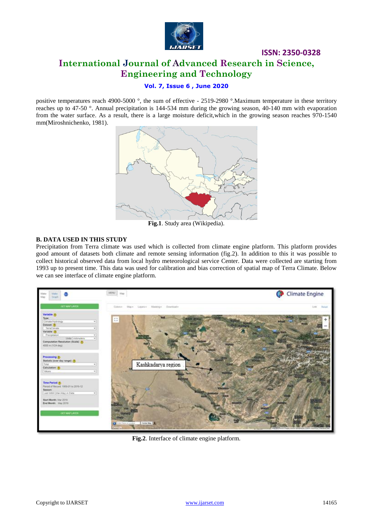

# **ISSN: 2350-0328 International Journal of Advanced Research in Science, Engineering and Technology**

### **Vol. 7, Issue 6 , June 2020**

positive temperatures reach 4900-5000 °, the sum of effective - 2519-2980 °.Maximum temperature in these territory reaches up to 47-50 °. Annual precipitation is 144-534 mm during the growing season, 40-140 mm with evaporation from the water surface. As a result, there is a large moisture deficit,which in the growing season reaches 970-1540 mm(Miroshnichenko, 1981).



#### **B. DATA USED IN THIS STUDY**

Precipitation from Terra climate was used which is collected from climate engine platform. This platform provides good amount of datasets both climate and remote sensing information (fig.2). In addition to this it was possible to collect historical observed data from local hydro meteorological service Center. Data were collected are starting from 1993 up to present time. This data was used for calibration and bias correction of spatial map of Terra Climate. Below we can see interface of climate engine platform.



**Fig.2**. Interface of climate engine platform.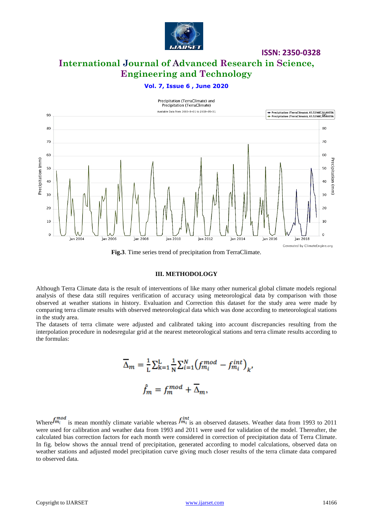

**International Journal of Advanced Research in Science, Engineering and Technology**

### **Vol. 7, Issue 6 , June 2020**



**Fig.3**. Time series trend of precipitation from TerraClimate.

#### **III. METHODOLOGY**

Although Terra Climate data is the result of interventions of like many other numerical global climate models regional analysis of these data still requires verification of accuracy using meteorological data by comparison with those observed at weather stations in history. Evaluation and Correction this dataset for the study area were made by comparing terra climate results with observed meteorological data which was done according to meteorological stations in the study area.

The datasets of terra climate were adjusted and calibrated taking into account discrepancies resulting from the interpolation procedure in nodesregular grid at the nearest meteorological stations and terra climate results according to the formulas:

$$
\overline{\Delta}_m = \frac{1}{L} \sum_{k=1}^{L} \frac{1}{N} \sum_{i=1}^{N} \left( f_{m_i}^{mod} - f_{m_i}^{int} \right)_k,
$$
  

$$
\hat{f}_m = f_m^{mod} + \overline{\Delta}_m,
$$

Where  $f_{m_i}^{mod}$  is mean monthly climate variable whereas  $f_{m_i}^{int}$  is an observed datasets. Weather data from 1993 to 2011 were used for calibration and weather data from 1993 and 2011 were used for validation of the model. Thereafter, the calculated bias correction factors for each month were considered in correction of precipitation data of Terra Climate. In fig. below shows the annual trend of precipitation, generated according to model calculations, observed data on weather stations and adjusted model precipitation curve giving much closer results of the terra climate data compared to observed data.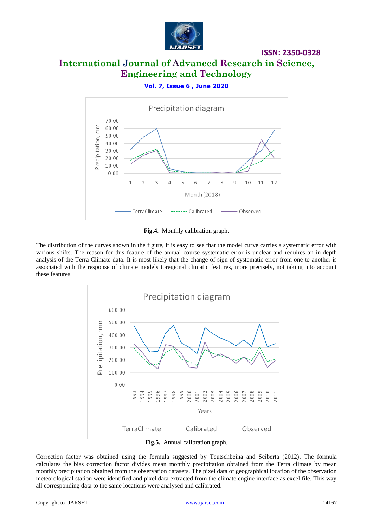

# **International Journal of Advanced Research in Science, Engineering and Technology**

### **Vol. 7, Issue 6 , June 2020**



**Fig.4**. Monthly calibration graph.

The distribution of the curves shown in the figure, it is easy to see that the model curve carries a systematic error with various shifts. The reason for this feature of the annual course systematic error is unclear and requires an in-depth analysis of the Terra Climate data. It is most likely that the change of sign of systematic error from one to another is associated with the response of climate models toregional climatic features, more precisely, not taking into account these features.



Correction factor was obtained using the formula suggested by Teutschbeina and Seiberta (2012). The formula calculates the bias correction factor divides mean monthly precipitation obtained from the Terra climate by mean monthly precipitation obtained from the observation datasets. The pixel data of geographical location of the observation meteorological station were identified and pixel data extracted from the climate engine interface as excel file. This way all corresponding data to the same locations were analysed and calibrated.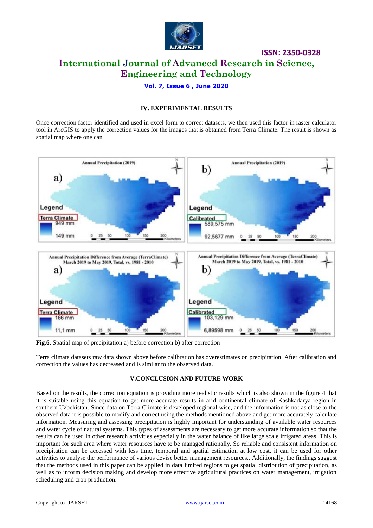

# **ISSN: 2350-0328 International Journal of Advanced Research in Science, Engineering and Technology**

### **Vol. 7, Issue 6 , June 2020**

### **IV. EXPERIMENTAL RESULTS**

Once correction factor identified and used in excel form to correct datasets, we then used this factor in raster calculator tool in ArcGIS to apply the correction values for the images that is obtained from Terra Climate. The result is shown as spatial map where one can



**Fig.6.** Spatial map of precipitation a) before correction b) after correction

Terra climate datasets raw data shown above before calibration has overestimates on precipitation. After calibration and correction the values has decreased and is similar to the observed data.

#### **V.CONCLUSION AND FUTURE WORK**

Based on the results, the correction equation is providing more realistic results which is also shown in the figure 4 that it is suitable using this equation to get more accurate results in arid continental climate of Kashkadarya region in southern Uzbekistan. Since data on Terra Climate is developed regional wise, and the information is not as close to the observed data it is possible to modify and correct using the methods mentioned above and get more accurately calculate information. Measuring and assessing precipitation is highly important for understanding of available water resources and water cycle of natural systems. This types of assessments are necessary to get more accurate information so that the results can be used in other research activities especially in the water balance of like large scale irrigated areas. This is important for such area where water resources have to be managed rationally. So reliable and consistent information on precipitation can be accessed with less time, temporal and spatial estimation at low cost, it can be used for other activities to analyse the performance of various devise better management resources.. Additionally, the findings suggest that the methods used in this paper can be applied in data limited regions to get spatial distribution of precipitation, as well as to inform decision making and develop more effective agricultural practices on water management, irrigation scheduling and crop production.